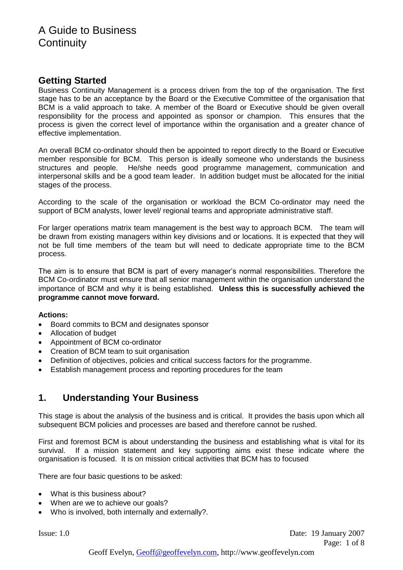# **Getting Started**

Business Continuity Management is a process driven from the top of the organisation. The first stage has to be an acceptance by the Board or the Executive Committee of the organisation that BCM is a valid approach to take. A member of the Board or Executive should be given overall responsibility for the process and appointed as sponsor or champion. This ensures that the process is given the correct level of importance within the organisation and a greater chance of effective implementation.

An overall BCM co-ordinator should then be appointed to report directly to the Board or Executive member responsible for BCM. This person is ideally someone who understands the business structures and people. He/she needs good programme management, communication and interpersonal skills and be a good team leader. In addition budget must be allocated for the initial stages of the process.

According to the scale of the organisation or workload the BCM Co-ordinator may need the support of BCM analysts, lower level/ regional teams and appropriate administrative staff.

For larger operations matrix team management is the best way to approach BCM. The team will be drawn from existing managers within key divisions and or locations. It is expected that they will not be full time members of the team but will need to dedicate appropriate time to the BCM process.

The aim is to ensure that BCM is part of every manager's normal responsibilities. Therefore the BCM Co-ordinator must ensure that all senior management within the organisation understand the importance of BCM and why it is being established. **Unless this is successfully achieved the programme cannot move forward.**

## **Actions:**

- Board commits to BCM and designates sponsor
- Allocation of budget
- Appointment of BCM co-ordinator
- Creation of BCM team to suit organisation
- Definition of objectives, policies and critical success factors for the programme.
- Establish management process and reporting procedures for the team

# **1. Understanding Your Business**

This stage is about the analysis of the business and is critical. It provides the basis upon which all subsequent BCM policies and processes are based and therefore cannot be rushed.

First and foremost BCM is about understanding the business and establishing what is vital for its survival. If a mission statement and key supporting aims exist these indicate where the organisation is focused. It is on mission critical activities that BCM has to focused

There are four basic questions to be asked:

- What is this business about?
- When are we to achieve our goals?
- Who is involved, both internally and externally?.

Issue: 1.0 Date: 19 January 2007 Page: 1 of 8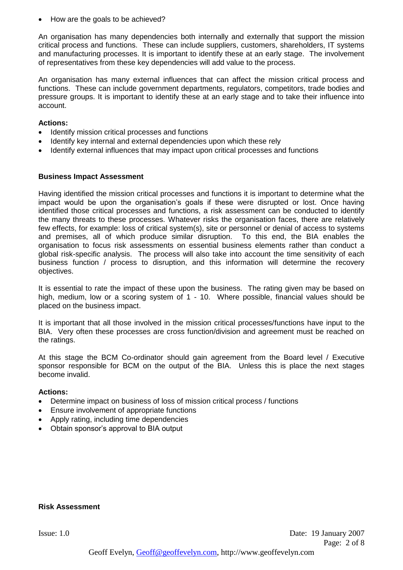How are the goals to be achieved?

An organisation has many dependencies both internally and externally that support the mission critical process and functions. These can include suppliers, customers, shareholders, IT systems and manufacturing processes. It is important to identify these at an early stage. The involvement of representatives from these key dependencies will add value to the process.

An organisation has many external influences that can affect the mission critical process and functions. These can include government departments, regulators, competitors, trade bodies and pressure groups. It is important to identify these at an early stage and to take their influence into account.

### **Actions:**

- Identify mission critical processes and functions
- Identify key internal and external dependencies upon which these rely
- Identify external influences that may impact upon critical processes and functions

## **Business Impact Assessment**

Having identified the mission critical processes and functions it is important to determine what the impact would be upon the organisation's goals if these were disrupted or lost. Once having identified those critical processes and functions, a risk assessment can be conducted to identify the many threats to these processes. Whatever risks the organisation faces, there are relatively few effects, for example: loss of critical system(s), site or personnel or denial of access to systems and premises, all of which produce similar disruption. To this end, the BIA enables the organisation to focus risk assessments on essential business elements rather than conduct a global risk-specific analysis. The process will also take into account the time sensitivity of each business function / process to disruption, and this information will determine the recovery objectives.

It is essential to rate the impact of these upon the business. The rating given may be based on high, medium, low or a scoring system of 1 - 10. Where possible, financial values should be placed on the business impact.

It is important that all those involved in the mission critical processes/functions have input to the BIA. Very often these processes are cross function/division and agreement must be reached on the ratings.

At this stage the BCM Co-ordinator should gain agreement from the Board level / Executive sponsor responsible for BCM on the output of the BIA. Unless this is place the next stages become invalid.

#### **Actions:**

- Determine impact on business of loss of mission critical process / functions
- Ensure involvement of appropriate functions
- Apply rating, including time dependencies
- Obtain sponsor's approval to BIA output

## **Risk Assessment**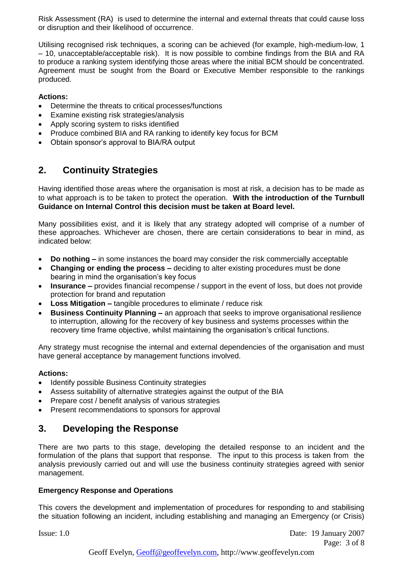Risk Assessment (RA) is used to determine the internal and external threats that could cause loss or disruption and their likelihood of occurrence.

Utilising recognised risk techniques, a scoring can be achieved (for example, high-medium-low, 1 – 10, unacceptable/acceptable risk). It is now possible to combine findings from the BIA and RA to produce a ranking system identifying those areas where the initial BCM should be concentrated. Agreement must be sought from the Board or Executive Member responsible to the rankings produced.

## **Actions:**

- Determine the threats to critical processes/functions
- Examine existing risk strategies/analysis
- Apply scoring system to risks identified
- Produce combined BIA and RA ranking to identify key focus for BCM
- Obtain sponsor's approval to BIA/RA output

# **2. Continuity Strategies**

Having identified those areas where the organisation is most at risk, a decision has to be made as to what approach is to be taken to protect the operation. **With the introduction of the Turnbull Guidance on Internal Control this decision must be taken at Board level.** 

Many possibilities exist, and it is likely that any strategy adopted will comprise of a number of these approaches. Whichever are chosen, there are certain considerations to bear in mind, as indicated below:

- **Do nothing –** in some instances the board may consider the risk commercially acceptable
- **Changing or ending the process –** deciding to alter existing procedures must be done bearing in mind the organisation's key focus
- **Insurance –** provides financial recompense / support in the event of loss, but does not provide protection for brand and reputation
- **Loss Mitigation –** tangible procedures to eliminate / reduce risk
- **Business Continuity Planning –** an approach that seeks to improve organisational resilience to interruption, allowing for the recovery of key business and systems processes within the recovery time frame objective, whilst maintaining the organisation's critical functions.

Any strategy must recognise the internal and external dependencies of the organisation and must have general acceptance by management functions involved.

## **Actions:**

- Identify possible Business Continuity strategies
- Assess suitability of alternative strategies against the output of the BIA
- Prepare cost / benefit analysis of various strategies
- Present recommendations to sponsors for approval

# **3. Developing the Response**

There are two parts to this stage, developing the detailed response to an incident and the formulation of the plans that support that response. The input to this process is taken from the analysis previously carried out and will use the business continuity strategies agreed with senior management.

## **Emergency Response and Operations**

This covers the development and implementation of procedures for responding to and stabilising the situation following an incident, including establishing and managing an Emergency (or Crisis)

Issue: 1.0 Date: 19 January 2007 Page: 3 of 8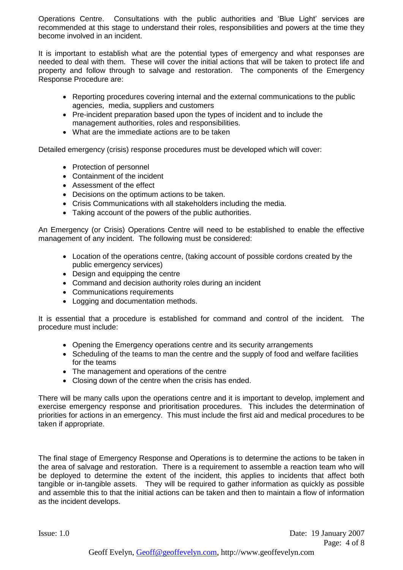Operations Centre. Consultations with the public authorities and 'Blue Light' services are recommended at this stage to understand their roles, responsibilities and powers at the time they become involved in an incident.

It is important to establish what are the potential types of emergency and what responses are needed to deal with them. These will cover the initial actions that will be taken to protect life and property and follow through to salvage and restoration. The components of the Emergency Response Procedure are:

- Reporting procedures covering internal and the external communications to the public agencies, media, suppliers and customers
- Pre-incident preparation based upon the types of incident and to include the management authorities, roles and responsibilities.
- What are the immediate actions are to be taken

Detailed emergency (crisis) response procedures must be developed which will cover:

- Protection of personnel
- Containment of the incident
- Assessment of the effect
- Decisions on the optimum actions to be taken.
- Crisis Communications with all stakeholders including the media.
- Taking account of the powers of the public authorities.

An Emergency (or Crisis) Operations Centre will need to be established to enable the effective management of any incident. The following must be considered:

- Location of the operations centre, (taking account of possible cordons created by the public emergency services)
- Design and equipping the centre
- Command and decision authority roles during an incident
- Communications requirements
- Logging and documentation methods.

It is essential that a procedure is established for command and control of the incident. The procedure must include:

- Opening the Emergency operations centre and its security arrangements
- Scheduling of the teams to man the centre and the supply of food and welfare facilities for the teams
- The management and operations of the centre
- Closing down of the centre when the crisis has ended.

There will be many calls upon the operations centre and it is important to develop, implement and exercise emergency response and prioritisation procedures. This includes the determination of priorities for actions in an emergency. This must include the first aid and medical procedures to be taken if appropriate.

The final stage of Emergency Response and Operations is to determine the actions to be taken in the area of salvage and restoration. There is a requirement to assemble a reaction team who will be deployed to determine the extent of the incident, this applies to incidents that affect both tangible or in-tangible assets. They will be required to gather information as quickly as possible and assemble this to that the initial actions can be taken and then to maintain a flow of information as the incident develops.

Issue: 1.0 Date: 19 January 2007 Page: 4 of 8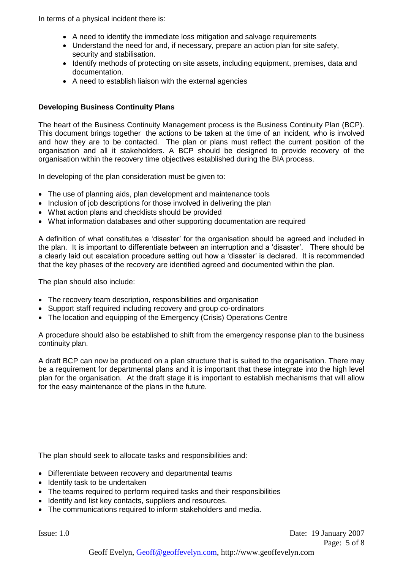In terms of a physical incident there is:

- A need to identify the immediate loss mitigation and salvage requirements
- Understand the need for and, if necessary, prepare an action plan for site safety, security and stabilisation.
- Identify methods of protecting on site assets, including equipment, premises, data and documentation.
- A need to establish liaison with the external agencies

## **Developing Business Continuity Plans**

The heart of the Business Continuity Management process is the Business Continuity Plan (BCP). This document brings together the actions to be taken at the time of an incident, who is involved and how they are to be contacted. The plan or plans must reflect the current position of the organisation and all it stakeholders. A BCP should be designed to provide recovery of the organisation within the recovery time objectives established during the BIA process.

In developing of the plan consideration must be given to:

- The use of planning aids, plan development and maintenance tools
- Inclusion of job descriptions for those involved in delivering the plan
- What action plans and checklists should be provided
- What information databases and other supporting documentation are required

A definition of what constitutes a 'disaster' for the organisation should be agreed and included in the plan. It is important to differentiate between an interruption and a 'disaster'. There should be a clearly laid out escalation procedure setting out how a 'disaster' is declared. It is recommended that the key phases of the recovery are identified agreed and documented within the plan.

The plan should also include:

- The recovery team description, responsibilities and organisation
- Support staff required including recovery and group co-ordinators
- The location and equipping of the Emergency (Crisis) Operations Centre

A procedure should also be established to shift from the emergency response plan to the business continuity plan.

A draft BCP can now be produced on a plan structure that is suited to the organisation. There may be a requirement for departmental plans and it is important that these integrate into the high level plan for the organisation. At the draft stage it is important to establish mechanisms that will allow for the easy maintenance of the plans in the future.

The plan should seek to allocate tasks and responsibilities and:

- Differentiate between recovery and departmental teams
- Identify task to be undertaken
- The teams required to perform required tasks and their responsibilities
- Identify and list key contacts, suppliers and resources.
- The communications required to inform stakeholders and media.

Issue: 1.0 Date: 19 January 2007 Page: 5 of 8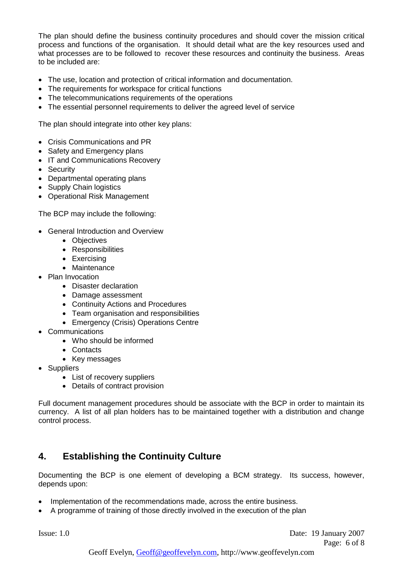The plan should define the business continuity procedures and should cover the mission critical process and functions of the organisation. It should detail what are the key resources used and what processes are to be followed to recover these resources and continuity the business. Areas to be included are:

- The use, location and protection of critical information and documentation.
- The requirements for workspace for critical functions
- The telecommunications requirements of the operations
- The essential personnel requirements to deliver the agreed level of service

The plan should integrate into other key plans:

- Crisis Communications and PR
- Safety and Emergency plans
- IT and Communications Recovery
- **•** Security
- Departmental operating plans
- Supply Chain logistics
- Operational Risk Management

The BCP may include the following:

- General Introduction and Overview
	- Objectives
	- Responsibilities
	- Exercising
		- Maintenance
- Plan Invocation
	- Disaster declaration
	- Damage assessment
	- Continuity Actions and Procedures
	- Team organisation and responsibilities
	- Emergency (Crisis) Operations Centre
- Communications
	- Who should be informed
	- Contacts
	- Key messages
- Suppliers
	- List of recovery suppliers
	- Details of contract provision

Full document management procedures should be associate with the BCP in order to maintain its currency. A list of all plan holders has to be maintained together with a distribution and change control process.

# **4. Establishing the Continuity Culture**

Documenting the BCP is one element of developing a BCM strategy. Its success, however, depends upon:

- Implementation of the recommendations made, across the entire business.
- A programme of training of those directly involved in the execution of the plan

Issue: 1.0 Date: 19 January 2007 Page: 6 of 8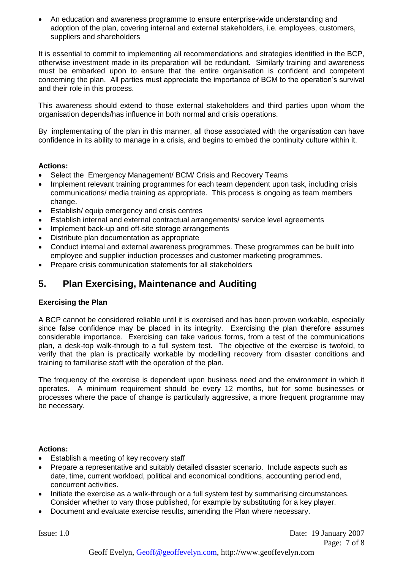An education and awareness programme to ensure enterprise-wide understanding and adoption of the plan, covering internal and external stakeholders, i.e. employees, customers, suppliers and shareholders

It is essential to commit to implementing all recommendations and strategies identified in the BCP, otherwise investment made in its preparation will be redundant. Similarly training and awareness must be embarked upon to ensure that the entire organisation is confident and competent concerning the plan. All parties must appreciate the importance of BCM to the operation's survival and their role in this process.

This awareness should extend to those external stakeholders and third parties upon whom the organisation depends/has influence in both normal and crisis operations.

By implementating of the plan in this manner, all those associated with the organisation can have confidence in its ability to manage in a crisis, and begins to embed the continuity culture within it.

## **Actions:**

- Select the Emergency Management/ BCM/ Crisis and Recovery Teams
- Implement relevant training programmes for each team dependent upon task, including crisis communications/ media training as appropriate. This process is ongoing as team members change.
- Establish/ equip emergency and crisis centres
- Establish internal and external contractual arrangements/ service level agreements
- Implement back-up and off-site storage arrangements
- Distribute plan documentation as appropriate
- Conduct internal and external awareness programmes. These programmes can be built into employee and supplier induction processes and customer marketing programmes.
- Prepare crisis communication statements for all stakeholders

# **5. Plan Exercising, Maintenance and Auditing**

## **Exercising the Plan**

A BCP cannot be considered reliable until it is exercised and has been proven workable, especially since false confidence may be placed in its integrity. Exercising the plan therefore assumes considerable importance. Exercising can take various forms, from a test of the communications plan, a desk-top walk-through to a full system test. The objective of the exercise is twofold, to verify that the plan is practically workable by modelling recovery from disaster conditions and training to familiarise staff with the operation of the plan.

The frequency of the exercise is dependent upon business need and the environment in which it operates. A minimum requirement should be every 12 months, but for some businesses or processes where the pace of change is particularly aggressive, a more frequent programme may be necessary.

## **Actions:**

- Establish a meeting of key recovery staff
- Prepare a representative and suitably detailed disaster scenario. Include aspects such as date, time, current workload, political and economical conditions, accounting period end, concurrent activities.
- Initiate the exercise as a walk-through or a full system test by summarising circumstances. Consider whether to vary those published, for example by substituting for a key player.
- Document and evaluate exercise results, amending the Plan where necessary.